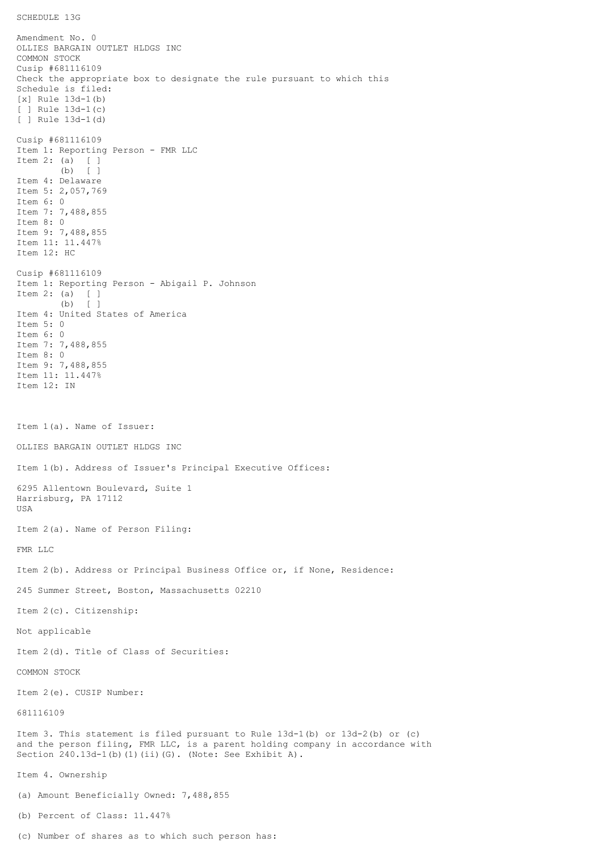SCHEDULE 13G

Amendment No. 0 OLLIES BARGAIN OUTLET HLDGS INC COMMON STOCK Cusip #681116109 Check the appropriate box to designate the rule pursuant to which this Schedule is filed: [x] Rule 13d-1(b) [ ] Rule 13d-1(c) [ ] Rule 13d-1(d) Cusip #681116109 Item 1: Reporting Person - FMR LLC Item 2: (a) [ ] (b) [ ] Item 4: Delaware Item 5: 2,057,769 Item 6: 0 Item 7: 7,488,855 Item 8: 0 Item 9: 7,488,855 Item 11: 11.447% Item 12: HC Cusip #681116109 Item 1: Reporting Person - Abigail P. Johnson Item 2: (a) [ ] (b) [ ] Item 4: United States of America Item 5: 0 Item 6: 0 Item 7: 7,488,855 Item 8: 0 Item 9: 7,488,855 Item 11: 11.447% Item 12: IN Item 1(a). Name of Issuer: OLLIES BARGAIN OUTLET HLDGS INC Item 1(b). Address of Issuer's Principal Executive Offices: 6295 Allentown Boulevard, Suite 1 Harrisburg, PA 17112 USA Item 2(a). Name of Person Filing: FMR LLC Item 2(b). Address or Principal Business Office or, if None, Residence: 245 Summer Street, Boston, Massachusetts 02210 Item 2(c). Citizenship: Not applicable Item 2(d). Title of Class of Securities: COMMON STOCK Item 2(e). CUSIP Number: 681116109 Item 3. This statement is filed pursuant to Rule 13d-1(b) or 13d-2(b) or (c) and the person filing, FMR LLC, is a parent holding company in accordance with Section 240.13d-1(b)(1)(ii)(G). (Note: See Exhibit A). Item 4. Ownership (a) Amount Beneficially Owned: 7,488,855 (b) Percent of Class: 11.447%

(c) Number of shares as to which such person has: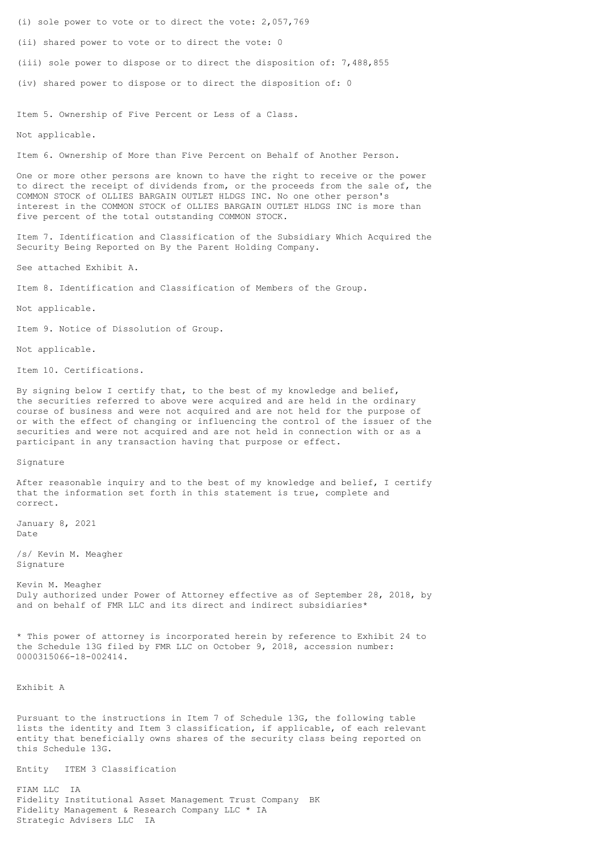(i) sole power to vote or to direct the vote: 2,057,769

(ii) shared power to vote or to direct the vote: 0

(iii) sole power to dispose or to direct the disposition of: 7,488,855

(iv) shared power to dispose or to direct the disposition of: 0

Item 5. Ownership of Five Percent or Less of a Class.

Not applicable.

Item 6. Ownership of More than Five Percent on Behalf of Another Person.

One or more other persons are known to have the right to receive or the power to direct the receipt of dividends from, or the proceeds from the sale of, the COMMON STOCK of OLLIES BARGAIN OUTLET HLDGS INC. No one other person's interest in the COMMON STOCK of OLLIES BARGAIN OUTLET HLDGS INC is more than five percent of the total outstanding COMMON STOCK.

Item 7. Identification and Classification of the Subsidiary Which Acquired the Security Being Reported on By the Parent Holding Company.

See attached Exhibit A.

Item 8. Identification and Classification of Members of the Group.

Not applicable.

Item 9. Notice of Dissolution of Group.

Not applicable.

Item 10. Certifications.

By signing below I certify that, to the best of my knowledge and belief, the securities referred to above were acquired and are held in the ordinary course of business and were not acquired and are not held for the purpose of or with the effect of changing or influencing the control of the issuer of the securities and were not acquired and are not held in connection with or as a participant in any transaction having that purpose or effect.

Signature

After reasonable inquiry and to the best of my knowledge and belief, I certify that the information set forth in this statement is true, complete and correct.

January 8, 2021 Date

/s/ Kevin M. Meagher Signature

Kevin M. Meagher Duly authorized under Power of Attorney effective as of September 28, 2018, by and on behalf of FMR LLC and its direct and indirect subsidiaries\*

\* This power of attorney is incorporated herein by reference to Exhibit 24 to the Schedule 13G filed by FMR LLC on October 9, 2018, accession number: 0000315066-18-002414.

Exhibit A

Pursuant to the instructions in Item 7 of Schedule 13G, the following table lists the identity and Item 3 classification, if applicable, of each relevant entity that beneficially owns shares of the security class being reported on this Schedule 13G.

Entity ITEM 3 Classification

FIAM LLC IA Fidelity Institutional Asset Management Trust Company BK Fidelity Management & Research Company LLC \* IA Strategic Advisers LLC IA